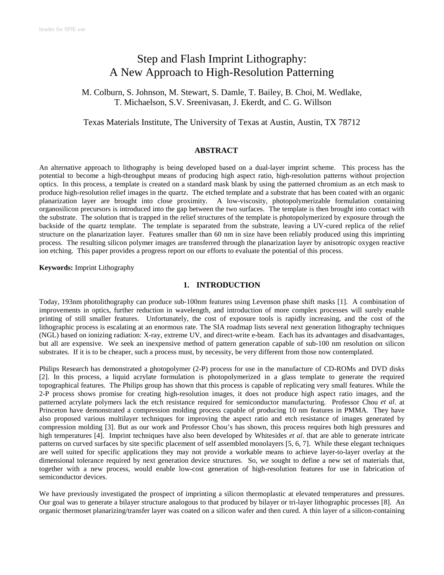# Step and Flash Imprint Lithography: A New Approach to High-Resolution Patterning

## M. Colburn, S. Johnson, M. Stewart, S. Damle, T. Bailey, B. Choi, M. Wedlake, T. Michaelson, S.V. Sreenivasan, J. Ekerdt, and C. G. Willson

## Texas Materials Institute, The University of Texas at Austin, Austin, TX 78712

## **ABSTRACT**

An alternative approach to lithography is being developed based on a dual-layer imprint scheme. This process has the potential to become a high-throughput means of producing high aspect ratio, high-resolution patterns without projection optics. In this process, a template is created on a standard mask blank by using the patterned chromium as an etch mask to produce high-resolution relief images in the quartz. The etched template and a substrate that has been coated with an organic planarization layer are brought into close proximity. A low-viscosity, photopolymerizable formulation containing organosilicon precursors is introduced into the gap between the two surfaces. The template is then brought into contact with the substrate. The solution that is trapped in the relief structures of the template is photopolymerized by exposure through the backside of the quartz template. The template is separated from the substrate, leaving a UV-cured replica of the relief structure on the planarization layer. Features smaller than 60 nm in size have been reliably produced using this imprinting process. The resulting silicon polymer images are transferred through the planarization layer by anisotropic oxygen reactive ion etching. This paper provides a progress report on our efforts to evaluate the potential of this process.

**Keywords:** Imprint Lithography

## **1. INTRODUCTION**

Today, 193nm photolithography can produce sub-100nm features using Levenson phase shift masks [1]. A combination of improvements in optics, further reduction in wavelength, and introduction of more complex processes will surely enable printing of still smaller features. Unfortunately, the cost of exposure tools is rapidly increasing, and the cost of the lithographic process is escalating at an enormous rate. The SIA roadmap lists several next generation lithography techniques (NGL) based on ionizing radiation: X-ray, extreme UV, and direct-write e-beam. Each has its advantages and disadvantages, but all are expensive. We seek an inexpensive method of pattern generation capable of sub-100 nm resolution on silicon substrates. If it is to be cheaper, such a process must, by necessity, be very different from those now contemplated.

Philips Research has demonstrated a photopolymer (2-P) process for use in the manufacture of CD-ROMs and DVD disks [2]. In this process, a liquid acrylate formulation is photopolymerized in a glass template to generate the required topographical features. The Philips group has shown that this process is capable of replicating very small features. While the 2-P process shows promise for creating high-resolution images, it does not produce high aspect ratio images, and the patterned acrylate polymers lack the etch resistance required for semiconductor manufacturing. Professor Chou *et al*. at Princeton have demonstrated a compression molding process capable of producing 10 nm features in PMMA. They have also proposed various multilayer techniques for improving the aspect ratio and etch resistance of images generated by compression molding [3]. But as our work and Professor Chou's has shown, this process requires both high pressures and high temperatures [4]. Imprint techniques have also been developed by Whitesides *et al*. that are able to generate intricate patterns on curved surfaces by site specific placement of self assembled monolayers [5, 6, 7]. While these elegant techniques are well suited for specific applications they may not provide a workable means to achieve layer-to-layer overlay at the dimensional tolerance required by next generation device structures. So, we sought to define a new set of materials that, together with a new process, would enable low-cost generation of high-resolution features for use in fabrication of semiconductor devices.

We have previously investigated the prospect of imprinting a silicon thermoplastic at elevated temperatures and pressures. Our goal was to generate a bilayer structure analogous to that produced by bilayer or tri-layer lithographic processes [8]. An organic thermoset planarizing/transfer layer was coated on a silicon wafer and then cured. A thin layer of a silicon-containing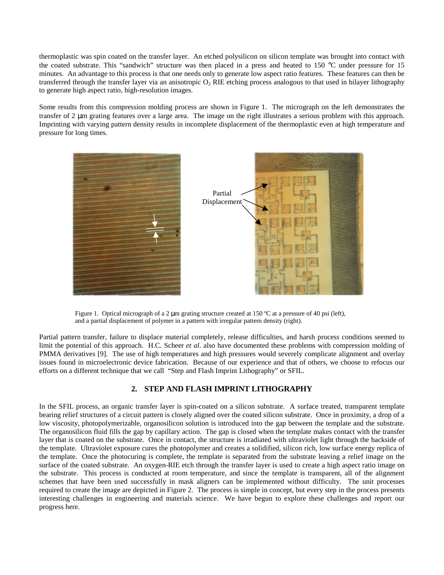thermoplastic was spin coated on the transfer layer. An etched polysilicon on silicon template was brought into contact with the coated substrate. This "sandwich" structure was then placed in a press and heated to 150 °C under pressure for 15 minutes. An advantage to this process is that one needs only to generate low aspect ratio features. These features can then be transferred through the transfer layer via an anisotropic  $O<sub>2</sub>$  RIE etching process analogous to that used in bilayer lithography to generate high aspect ratio, high-resolution images.

Some results from this compression molding process are shown in Figure 1. The micrograph on the left demonstrates the transfer of 2 µm grating features over a large area. The image on the right illustrates a serious problem with this approach. Imprinting with varying pattern density results in incomplete displacement of the thermoplastic even at high temperature and pressure for long times.



Figure 1. Optical micrograph of a 2  $\mu$ m grating structure created at 150 °C at a pressure of 40 psi (left), and a partial displacement of polymer in a pattern with irregular pattern density (right).

Partial pattern transfer, failure to displace material completely, release difficulties, and harsh process conditions seemed to limit the potential of this approach. H.C. Scheer *et al*. also have documented these problems with compression molding of PMMA derivatives [9]. The use of high temperatures and high pressures would severely complicate alignment and overlay issues found in microelectronic device fabrication. Because of our experience and that of others, we choose to refocus our efforts on a different technique that we call "Step and Flash Imprint Lithography" or SFIL.

## **2. STEP AND FLASH IMPRINT LITHOGRAPHY**

In the SFIL process, an organic transfer layer is spin-coated on a silicon substrate. A surface treated, transparent template bearing relief structures of a circuit pattern is closely aligned over the coated silicon substrate. Once in proximity, a drop of a low viscosity, photopolymerizable, organosilicon solution is introduced into the gap between the template and the substrate. The organosilicon fluid fills the gap by capillary action. The gap is closed when the template makes contact with the transfer layer that is coated on the substrate. Once in contact, the structure is irradiated with ultraviolet light through the backside of the template. Ultraviolet exposure cures the photopolymer and creates a solidified, silicon rich, low surface energy replica of the template. Once the photocuring is complete, the template is separated from the substrate leaving a relief image on the surface of the coated substrate. An oxygen-RIE etch through the transfer layer is used to create a high aspect ratio image on the substrate. This process is conducted at room temperature, and since the template is transparent, all of the alignment schemes that have been used successfully in mask aligners can be implemented without difficulty. The unit processes required to create the image are depicted in Figure 2. The process is simple in concept, but every step in the process presents interesting challenges in engineering and materials science. We have begun to explore these challenges and report our progress here.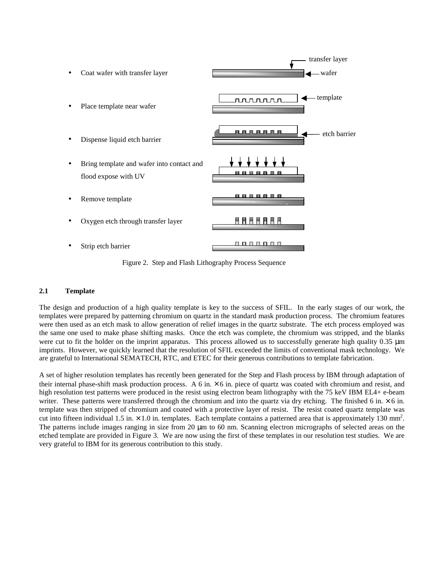

Figure 2. Step and Flash Lithography Process Sequence

### **2.1 Template**

The design and production of a high quality template is key to the success of SFIL. In the early stages of our work, the templates were prepared by patterning chromium on quartz in the standard mask production process. The chromium features were then used as an etch mask to allow generation of relief images in the quartz substrate. The etch process employed was the same one used to make phase shifting masks. Once the etch was complete, the chromium was stripped, and the blanks were cut to fit the holder on the imprint apparatus. This process allowed us to successfully generate high quality 0.35  $\mu$ m imprints. However, we quickly learned that the resolution of SFIL exceeded the limits of conventional mask technology. We are grateful to International SEMATECH, RTC, and ETEC for their generous contributions to template fabrication.

A set of higher resolution templates has recently been generated for the Step and Flash process by IBM through adaptation of their internal phase-shift mask production process. A 6 in.  $\times$  6 in. piece of quartz was coated with chromium and resist, and high resolution test patterns were produced in the resist using electron beam lithography with the 75 keV IBM EL4+ e-beam writer. These patterns were transferred through the chromium and into the quartz via dry etching. The finished 6 in.  $\times$  6 in. template was then stripped of chromium and coated with a protective layer of resist. The resist coated quartz template was cut into fifteen individual 1.5 in.  $\times$  1.0 in. templates. Each template contains a patterned area that is approximately 130 mm<sup>2</sup>. The patterns include images ranging in size from 20  $\mu$ m to 60 nm. Scanning electron micrographs of selected areas on the etched template are provided in Figure 3. We are now using the first of these templates in our resolution test studies. We are very grateful to IBM for its generous contribution to this study.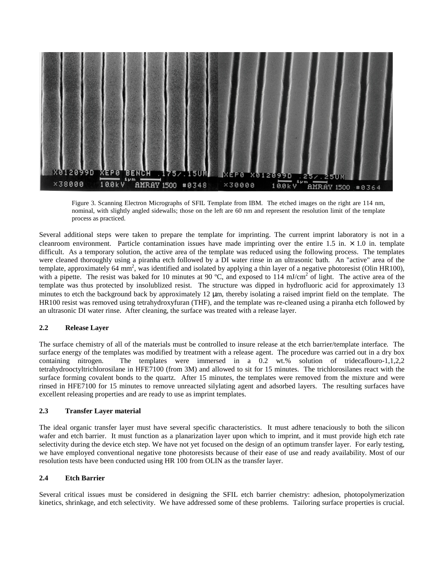

Figure 3. Scanning Electron Micrographs of SFIL Template from IBM. The etched images on the right are 114 nm, nominal, with slightly angled sidewalls; those on the left are 60 nm and represent the resolution limit of the template process as practiced.

Several additional steps were taken to prepare the template for imprinting. The current imprint laboratory is not in a cleanroom environment. Particle contamination issues have made imprinting over the entire 1.5 in.  $\times$  1.0 in. template difficult. As a temporary solution, the active area of the template was reduced using the following process. The templates were cleaned thoroughly using a piranha etch followed by a DI water rinse in an ultrasonic bath. An "active" area of the template, approximately 64 mm<sup>2</sup>, was identified and isolated by applying a thin layer of a negative photoresist (Olin HR100), with a pipette. The resist was baked for 10 minutes at 90 °C, and exposed to 114 mJ/cm<sup>2</sup> of light. The active area of the template was thus protected by insolublized resist. The structure was dipped in hydrofluoric acid for approximately 13 minutes to etch the background back by approximately 12  $\mu$ m, thereby isolating a raised imprint field on the template. The HR100 resist was removed using tetrahydroxyfuran (THF), and the template was re-cleaned using a piranha etch followed by an ultrasonic DI water rinse. After cleaning, the surface was treated with a release layer.

## **2.2 Release Layer**

The surface chemistry of all of the materials must be controlled to insure release at the etch barrier/template interface*.* The surface energy of the templates was modified by treatment with a release agent. The procedure was carried out in a dry box containing nitrogen. The templates were immersed in a 0.2 wt.% solution of tridecaflouro-1,1,2,2 tetrahydrooctyltrichlorosilane in HFE7100 (from 3M) and allowed to sit for 15 minutes. The trichlorosilanes react with the surface forming covalent bonds to the quartz. After 15 minutes, the templates were removed from the mixture and were rinsed in HFE7100 for 15 minutes to remove unreacted silylating agent and adsorbed layers. The resulting surfaces have excellent releasing properties and are ready to use as imprint templates.

## **2.3 Transfer Layer material**

The ideal organic transfer layer must have several specific characteristics. It must adhere tenaciously to both the silicon wafer and etch barrier. It must function as a planarization layer upon which to imprint, and it must provide high etch rate selectivity during the device etch step. We have not yet focused on the design of an optimum transfer layer. For early testing, we have employed conventional negative tone photoresists because of their ease of use and ready availability. Most of our resolution tests have been conducted using HR 100 from OLIN as the transfer layer.

## **2.4 Etch Barrier**

Several critical issues must be considered in designing the SFIL etch barrier chemistry: adhesion, photopolymerization kinetics, shrinkage, and etch selectivity. We have addressed some of these problems. Tailoring surface properties is crucial.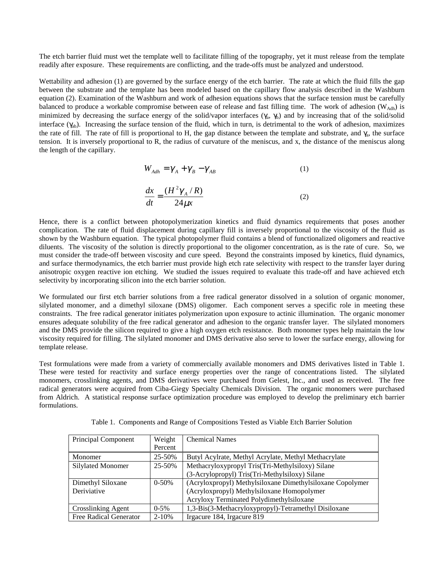The etch barrier fluid must wet the template well to facilitate filling of the topography, yet it must release from the template readily after exposure. These requirements are conflicting, and the trade-offs must be analyzed and understood.

Wettability and adhesion (1) are governed by the surface energy of the etch barrier. The rate at which the fluid fills the gap between the substrate and the template has been modeled based on the capillary flow analysis described in the Washburn equation (2). Examination of the Washburn and work of adhesion equations shows that the surface tension must be carefully balanced to produce a workable compromise between ease of release and fast filling time. The work of adhesion  $(W_{Adh})$  is minimized by decreasing the surface energy of the solid/vapor interfaces ( $\gamma_a$ ,  $\gamma_b$ ) and by increasing that of the solid/solid interface  $(\gamma_{ab})$ . Increasing the surface tension of the fluid, which in turn, is detrimental to the work of adhesion, maximizes the rate of fill. The rate of fill is proportional to H, the gap distance between the template and substrate, and  $\gamma_a$ , the surface tension. It is inversely proportional to R, the radius of curvature of the meniscus, and x, the distance of the meniscus along the length of the capillary.

$$
W_{Adh} = \gamma_A + \gamma_B - \gamma_{AB} \tag{1}
$$

$$
\frac{dx}{dt} = \frac{(H^2 \gamma_A / R)}{24\mu x} \tag{2}
$$

Hence, there is a conflict between photopolymerization kinetics and fluid dynamics requirements that poses another complication. The rate of fluid displacement during capillary fill is inversely proportional to the viscosity of the fluid as shown by the Washburn equation. The typical photopolymer fluid contains a blend of functionalized oligomers and reactive diluents. The viscosity of the solution is directly proportional to the oligomer concentration, as is the rate of cure. So, we must consider the trade-off between viscosity and cure speed. Beyond the constraints imposed by kinetics, fluid dynamics, and surface thermodynamics, the etch barrier must provide high etch rate selectivity with respect to the transfer layer during anisotropic oxygen reactive ion etching. We studied the issues required to evaluate this trade-off and have achieved etch selectivity by incorporating silicon into the etch barrier solution.

We formulated our first etch barrier solutions from a free radical generator dissolved in a solution of organic monomer, silylated monomer, and a dimethyl siloxane (DMS) oligomer. Each component serves a specific role in meeting these constraints. The free radical generator initiates polymerization upon exposure to actinic illumination. The organic monomer ensures adequate solubility of the free radical generator and adhesion to the organic transfer layer. The silylated monomers and the DMS provide the silicon required to give a high oxygen etch resistance. Both monomer types help maintain the low viscosity required for filling. The silylated monomer and DMS derivative also serve to lower the surface energy, allowing for template release.

Test formulations were made from a variety of commercially available monomers and DMS derivatives listed in Table 1. These were tested for reactivity and surface energy properties over the range of concentrations listed. The silylated monomers, crosslinking agents, and DMS derivatives were purchased from Gelest, Inc., and used as received. The free radical generators were acquired from Ciba-Giegy Specialty Chemicals Division. The organic monomers were purchased from Aldrich. A statistical response surface optimization procedure was employed to develop the preliminary etch barrier formulations.

| <b>Principal Component</b> | Weight      | <b>Chemical Names</b>                                     |  |  |
|----------------------------|-------------|-----------------------------------------------------------|--|--|
|                            | Percent     |                                                           |  |  |
| Monomer                    | $25 - 50\%$ | Butyl Acylrate, Methyl Acrylate, Methyl Methacrylate      |  |  |
| <b>Silylated Monomer</b>   | 25-50%      | Methacryloxypropyl Tris(Tri-Methylsiloxy) Silane          |  |  |
|                            |             | (3-Acrylopropyl) Tris(Tri-Methylsiloxy) Silane            |  |  |
| Dimethyl Siloxane          | $0-50%$     | (Acryloxpropyl) Methylsiloxane Dimethylsiloxane Copolymer |  |  |
| Deriviative                |             | (Acryloxpropyl) Methylsiloxane Homopolymer                |  |  |
|                            |             | Acryloxy Terminated Polydimethylsiloxane                  |  |  |

Crosslinking Agent 0-5% 1,3-Bis(3-Methacryloxypropyl)-Tetramethyl Disiloxane

Free Radical Generator 2-10% | Irgacure 184, Irgacure 819

Table 1. Components and Range of Compositions Tested as Viable Etch Barrier Solution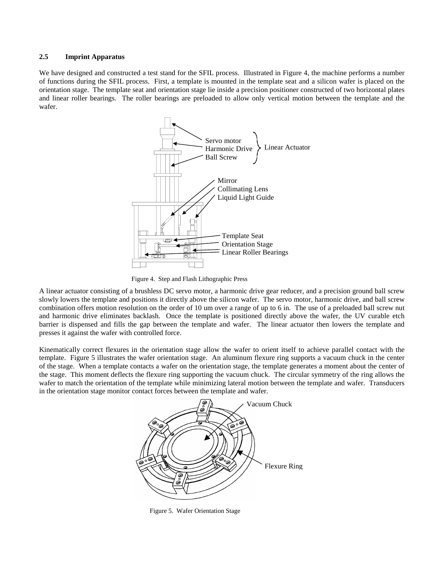## **2.5 Imprint Apparatus**

We have designed and constructed a test stand for the SFIL process. Illustrated in Figure 4, the machine performs a number of functions during the SFIL process. First, a template is mounted in the template seat and a silicon wafer is placed on the orientation stage. The template seat and orientation stage lie inside a precision positioner constructed of two horizontal plates and linear roller bearings. The roller bearings are preloaded to allow only vertical motion between the template and the wafer.



Figure 4. Step and Flash Lithographic Press

A linear actuator consisting of a brushless DC servo motor, a harmonic drive gear reducer, and a precision ground ball screw slowly lowers the template and positions it directly above the silicon wafer. The servo motor, harmonic drive, and ball screw combination offers motion resolution on the order of 10 um over a range of up to 6 in. The use of a preloaded ball screw nut and harmonic drive eliminates backlash. Once the template is positioned directly above the wafer, the UV curable etch barrier is dispensed and fills the gap between the template and wafer. The linear actuator then lowers the template and presses it against the wafer with controlled force.

Kinematically correct flexures in the orientation stage allow the wafer to orient itself to achieve parallel contact with the template. Figure 5 illustrates the wafer orientation stage. An aluminum flexure ring supports a vacuum chuck in the center of the stage. When a template contacts a wafer on the orientation stage, the template generates a moment about the center of the stage. This moment deflects the flexure ring supporting the vacuum chuck. The circular symmetry of the ring allows the wafer to match the orientation of the template while minimizing lateral motion between the template and wafer. Transducers in the orientation stage monitor contact forces between the template and wafer.



Figure 5. Wafer Orientation Stage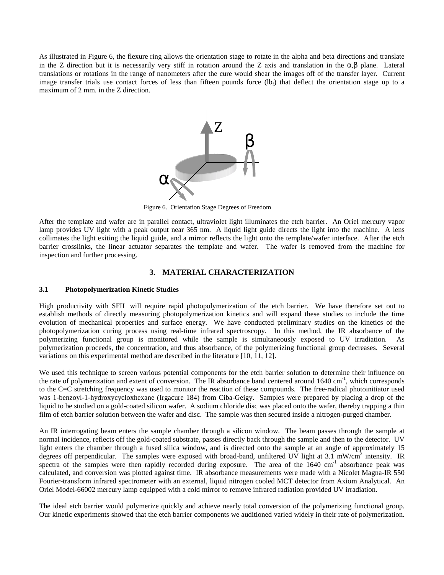As illustrated in Figure 6, the flexure ring allows the orientation stage to rotate in the alpha and beta directions and translate in the Z direction but it is necessarily very stiff in rotation around the Z axis and translation in the  $\alpha, \beta$  plane. Lateral translations or rotations in the range of nanometers after the cure would shear the images off of the transfer layer. Current image transfer trials use contact forces of less than fifteen pounds force  $(lb_f)$  that deflect the orientation stage up to a maximum of 2 mm. in the Z direction.



Figure 6. Orientation Stage Degrees of Freedom

After the template and wafer are in parallel contact, ultraviolet light illuminates the etch barrier. An Oriel mercury vapor lamp provides UV light with a peak output near 365 nm. A liquid light guide directs the light into the machine. A lens collimates the light exiting the liquid guide, and a mirror reflects the light onto the template/wafer interface. After the etch barrier crosslinks, the linear actuator separates the template and wafer. The wafer is removed from the machine for inspection and further processing.

## **3. MATERIAL CHARACTERIZATION**

### **3.1 Photopolymerization Kinetic Studies**

High productivity with SFIL will require rapid photopolymerization of the etch barrier. We have therefore set out to establish methods of directly measuring photopolymerization kinetics and will expand these studies to include the time evolution of mechanical properties and surface energy. We have conducted preliminary studies on the kinetics of the photopolymerization curing process using real-time infrared spectroscopy. In this method, the IR absorbance of the polymerizing functional group is monitored while the sample is simultaneously exposed to UV irradiation. As polymerization proceeds, the concentration, and thus absorbance, of the polymerizing functional group decreases. Several variations on this experimental method are described in the literature [10, 11, 12].

We used this technique to screen various potential components for the etch barrier solution to determine their influence on the rate of polymerization and extent of conversion. The IR absorbance band centered around  $1640 \text{ cm}^{-1}$ , which corresponds to the C=C stretching frequency was used to monitor the reaction of these compounds. The free-radical photoinitiator used was 1-benzoyl-1-hydroxycycloxhexane (Irgacure 184) from Ciba-Geigy. Samples were prepared by placing a drop of the liquid to be studied on a gold-coated silicon wafer. A sodium chloride disc was placed onto the wafer, thereby trapping a thin film of etch barrier solution between the wafer and disc. The sample was then secured inside a nitrogen-purged chamber.

An IR interrogating beam enters the sample chamber through a silicon window. The beam passes through the sample at normal incidence, reflects off the gold-coated substrate, passes directly back through the sample and then to the detector. UV light enters the chamber through a fused silica window, and is directed onto the sample at an angle of approximately 15 degrees off perpendicular. The samples were exposed with broad-band, unfiltered UV light at 3.1 mW/cm<sup>2</sup> intensity. IR spectra of the samples were then rapidly recorded during exposure. The area of the 1640 cm<sup>-1</sup> absorbance peak was calculated, and conversion was plotted against time. IR absorbance measurements were made with a Nicolet Magna-IR 550 Fourier-transform infrared spectrometer with an external, liquid nitrogen cooled MCT detector from Axiom Analytical. An Oriel Model-66002 mercury lamp equipped with a cold mirror to remove infrared radiation provided UV irradiation.

The ideal etch barrier would polymerize quickly and achieve nearly total conversion of the polymerizing functional group. Our kinetic experiments showed that the etch barrier components we auditioned varied widely in their rate of polymerization.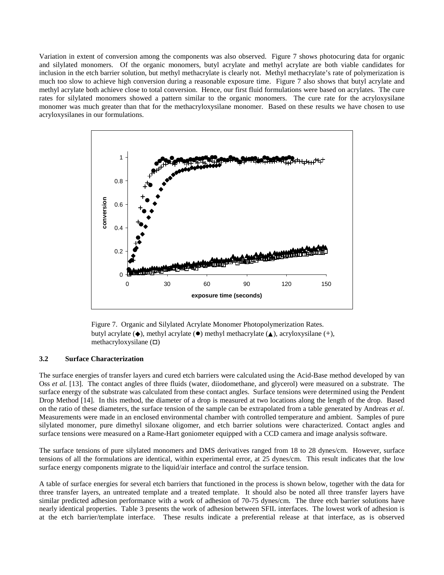Variation in extent of conversion among the components was also observed. Figure 7 shows photocuring data for organic and silylated monomers. Of the organic monomers, butyl acrylate and methyl acrylate are both viable candidates for inclusion in the etch barrier solution, but methyl methacrylate is clearly not. Methyl methacrylate's rate of polymerization is much too slow to achieve high conversion during a reasonable exposure time. Figure 7 also shows that butyl acrylate and methyl acrylate both achieve close to total conversion. Hence, our first fluid formulations were based on acrylates. The cure rates for silylated monomers showed a pattern similar to the organic monomers. The cure rate for the acryloxysilane monomer was much greater than that for the methacryloxysilane monomer. Based on these results we have chosen to use acryloxysilanes in our formulations.



Figure 7. Organic and Silylated Acrylate Monomer Photopolymerization Rates. butyl acrylate ( $\bullet$ ), methyl acrylate ( $\bullet$ ) methyl methacrylate ( $\blacktriangle$ ), acryloxysilane (+), methacryloxysilane  $(\Box)$ 

## **3.2 Surface Characterization**

The surface energies of transfer layers and cured etch barriers were calculated using the Acid-Base method developed by van Oss *et al.* [13]. The contact angles of three fluids (water, diiodomethane, and glycerol) were measured on a substrate. The surface energy of the substrate was calculated from these contact angles. Surface tensions were determined using the Pendent Drop Method [14]. In this method, the diameter of a drop is measured at two locations along the length of the drop. Based on the ratio of these diameters, the surface tension of the sample can be extrapolated from a table generated by Andreas *et al*. Measurements were made in an enclosed environmental chamber with controlled temperature and ambient. Samples of pure silylated monomer, pure dimethyl siloxane oligomer, and etch barrier solutions were characterized. Contact angles and surface tensions were measured on a Rame-Hart goniometer equipped with a CCD camera and image analysis software.

The surface tensions of pure silylated monomers and DMS derivatives ranged from 18 to 28 dynes/cm. However, surface tensions of all the formulations are identical, within experimental error, at 25 dynes/cm. This result indicates that the low surface energy components migrate to the liquid/air interface and control the surface tension.

A table of surface energies for several etch barriers that functioned in the process is shown below, together with the data for three transfer layers, an untreated template and a treated template. It should also be noted all three transfer layers have similar predicted adhesion performance with a work of adhesion of 70-75 dynes/cm. The three etch barrier solutions have nearly identical properties. Table 3 presents the work of adhesion between SFIL interfaces. The lowest work of adhesion is at the etch barrier/template interface. These results indicate a preferential release at that interface, as is observed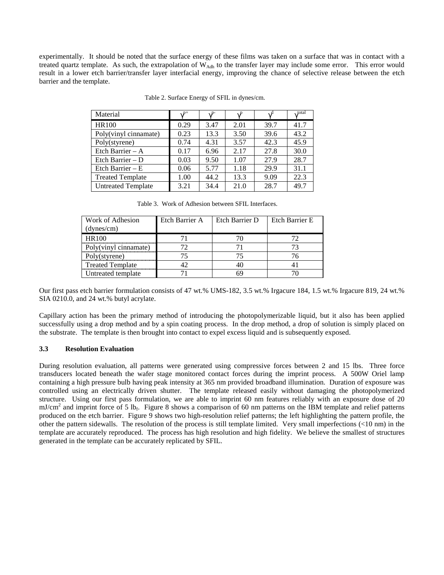experimentally. It should be noted that the surface energy of these films was taken on a surface that was in contact with a treated quartz template. As such, the extrapolation of  $W_{\text{Adh}}$  to the transfer layer may include some error. This error would result in a lower etch barrier/transfer layer interfacial energy, improving the chance of selective release between the etch barrier and the template.

| Material                  | $\gamma$ <sup>p+</sup> | $\gamma$ <sup>p-</sup> | $\gamma$ <sup>p</sup> | ∱    | $\sim t$ <sup>otal</sup> |
|---------------------------|------------------------|------------------------|-----------------------|------|--------------------------|
| <b>HR100</b>              | 0.29                   | 3.47                   | 2.01                  | 39.7 | 41.7                     |
| Poly(vinyl cinnamate)     | 0.23                   | 13.3                   | 3.50                  | 39.6 | 43.2                     |
| Poly(styrene)             | 0.74                   | 4.31                   | 3.57                  | 42.3 | 45.9                     |
| Etch Barrier - A          | 0.17                   | 6.96                   | 2.17                  | 27.8 | 30.0                     |
| Etch Barrier – D          | 0.03                   | 9.50                   | 1.07                  | 27.9 | 28.7                     |
| Etch Barrier $-E$         | 0.06                   | 5.77                   | 1.18                  | 29.9 | 31.1                     |
| <b>Treated Template</b>   | 1.00                   | 44.2                   | 13.3                  | 9.09 | 22.3                     |
| <b>Untreated Template</b> | 3.21                   | 34.4                   | 21.0                  | 28.7 | 49.7                     |

Table 2. Surface Energy of SFIL in dynes/cm.

Table 3. Work of Adhesion between SFIL Interfaces.

| Work of Adhesion<br>(dynes/cm) | Etch Barrier A | Etch Barrier D | Etch Barrier E |
|--------------------------------|----------------|----------------|----------------|
| HR100                          |                |                |                |
| Poly(vinyl cinnamate)          |                |                |                |
| Poly(styrene)                  |                |                |                |
| <b>Treated Template</b>        |                |                |                |
| Untreated template             |                |                |                |

Our first pass etch barrier formulation consists of 47 wt.% UMS-182, 3.5 wt.% Irgacure 184, 1.5 wt.% Irgacure 819, 24 wt.% SIA 0210.0, and 24 wt.% butyl acrylate.

Capillary action has been the primary method of introducing the photopolymerizable liquid, but it also has been applied successfully using a drop method and by a spin coating process. In the drop method, a drop of solution is simply placed on the substrate. The template is then brought into contact to expel excess liquid and is subsequently exposed.

### **3.3 Resolution Evaluation**

During resolution evaluation, all patterns were generated using compressive forces between 2 and 15 lbs. Three force transducers located beneath the wafer stage monitored contact forces during the imprint process. A 500W Oriel lamp containing a high pressure bulb having peak intensity at 365 nm provided broadband illumination. Duration of exposure was controlled using an electrically driven shutter. The template released easily without damaging the photopolymerized structure. Using our first pass formulation, we are able to imprint 60 nm features reliably with an exposure dose of 20 mJ/cm<sup>2</sup> and imprint force of 5 lb<sub>f</sub>. Figure 8 shows a comparison of 60 nm patterns on the IBM template and relief patterns produced on the etch barrier. Figure 9 shows two high-resolution relief patterns; the left highlighting the pattern profile, the other the pattern sidewalls. The resolution of the process is still template limited. Very small imperfections (<10 nm) in the template are accurately reproduced. The process has high resolution and high fidelity. We believe the smallest of structures generated in the template can be accurately replicated by SFIL.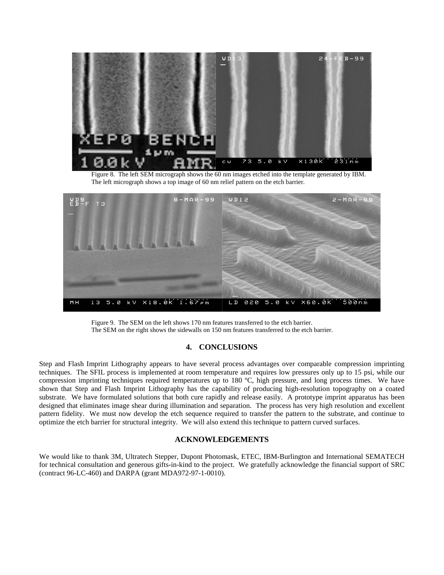

Figure 8. The left SEM micrograph shows the 60 nm images etched into the template generated by IBM. The left micrograph shows a top image of 60 nm relief pattern on the etch barrier.



Figure 9. The SEM on the left shows 170 nm features transferred to the etch barrier. The SEM on the right shows the sidewalls on 150 nm features transferred to the etch barrier.

## **4. CONCLUSIONS**

Step and Flash Imprint Lithography appears to have several process advantages over comparable compression imprinting techniques. The SFIL process is implemented at room temperature and requires low pressures only up to 15 psi, while our compression imprinting techniques required temperatures up to 180 ºC, high pressure, and long process times. We have shown that Step and Flash Imprint Lithography has the capability of producing high-resolution topography on a coated substrate. We have formulated solutions that both cure rapidly and release easily. A prototype imprint apparatus has been designed that eliminates image shear during illumination and separation. The process has very high resolution and excellent pattern fidelity. We must now develop the etch sequence required to transfer the pattern to the substrate, and continue to optimize the etch barrier for structural integrity. We will also extend this technique to pattern curved surfaces.

## **ACKNOWLEDGEMENTS**

We would like to thank 3M, Ultratech Stepper, Dupont Photomask, ETEC, IBM-Burlington and International SEMATECH for technical consultation and generous gifts-in-kind to the project. We gratefully acknowledge the financial support of SRC (contract 96-LC-460) and DARPA (grant MDA972-97-1-0010).